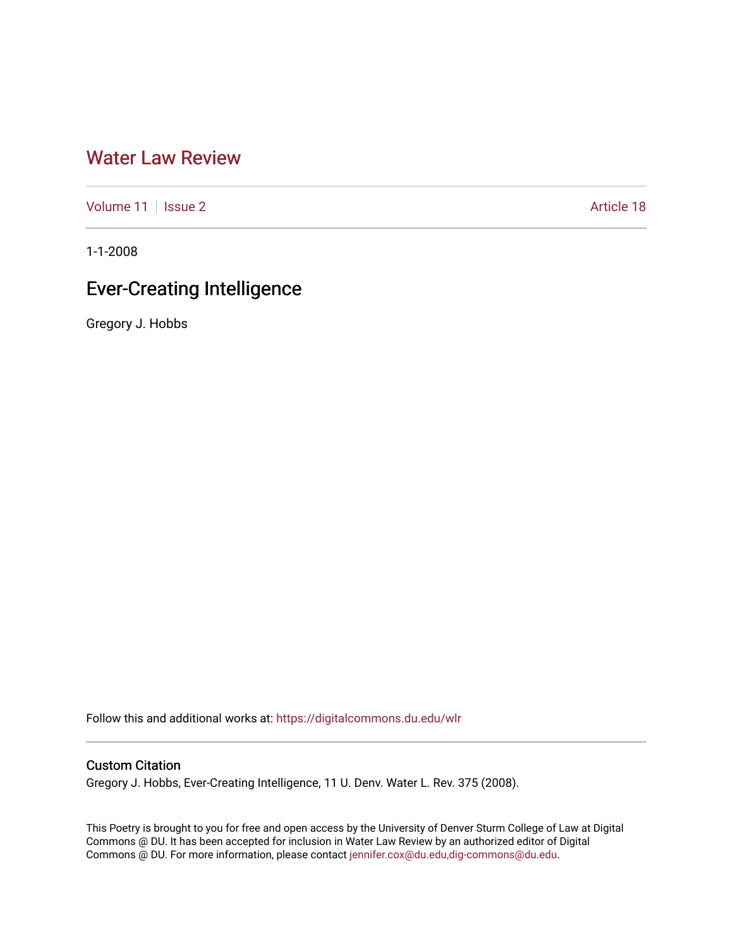## [Water Law Review](https://digitalcommons.du.edu/wlr)

[Volume 11](https://digitalcommons.du.edu/wlr/vol11) | [Issue 2](https://digitalcommons.du.edu/wlr/vol11/iss2) Article 18

1-1-2008

# Ever-Creating Intelligence

Gregory J. Hobbs

Follow this and additional works at: [https://digitalcommons.du.edu/wlr](https://digitalcommons.du.edu/wlr?utm_source=digitalcommons.du.edu%2Fwlr%2Fvol11%2Fiss2%2F18&utm_medium=PDF&utm_campaign=PDFCoverPages) 

## Custom Citation

Gregory J. Hobbs, Ever-Creating Intelligence, 11 U. Denv. Water L. Rev. 375 (2008).

This Poetry is brought to you for free and open access by the University of Denver Sturm College of Law at Digital Commons @ DU. It has been accepted for inclusion in Water Law Review by an authorized editor of Digital Commons @ DU. For more information, please contact [jennifer.cox@du.edu,dig-commons@du.edu.](mailto:jennifer.cox@du.edu,dig-commons@du.edu)